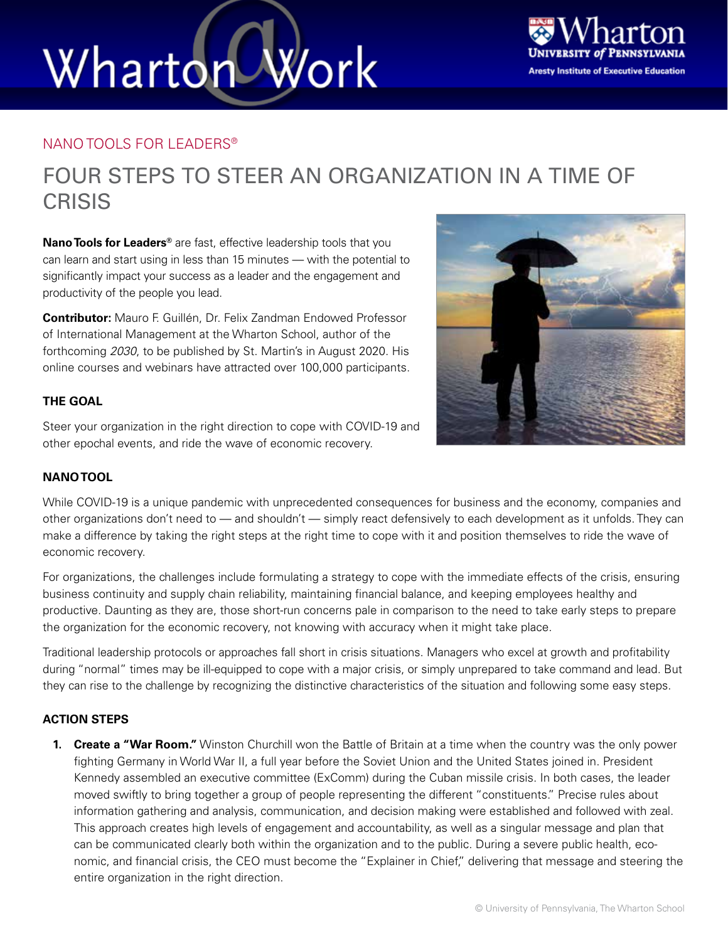# Work Wharton



### NANO TOOLS FOR LEADERS®

### FOUR STEPS TO STEER AN ORGANIZATION IN A TIME OF **CRISIS**

**Nano Tools for Leaders®** are fast, effective leadership tools that you can learn and start using in less than 15 minutes — with the potential to significantly impact your success as a leader and the engagement and productivity of the people you lead.

**Contributor:** Mauro F. Guillén, Dr. Felix Zandman Endowed Professor of International Management at the Wharton School, author of the forthcoming *2030*, to be published by St. Martin's in August 2020. His online courses and webinars have attracted over 100,000 participants.

### **THE GOAL**

Steer your organization in the right direction to cope with COVID-19 and other epochal events, and ride the wave of economic recovery.

### **NANO TOOL**

While COVID-19 is a unique pandemic with unprecedented consequences for business and the economy, companies and other organizations don't need to — and shouldn't — simply react defensively to each development as it unfolds. They can make a difference by taking the right steps at the right time to cope with it and position themselves to ride the wave of economic recovery.

For organizations, the challenges include formulating a strategy to cope with the immediate effects of the crisis, ensuring business continuity and supply chain reliability, maintaining financial balance, and keeping employees healthy and productive. Daunting as they are, those short-run concerns pale in comparison to the need to take early steps to prepare the organization for the economic recovery, not knowing with accuracy when it might take place.

Traditional leadership protocols or approaches fall short in crisis situations. Managers who excel at growth and profitability during "normal" times may be ill-equipped to cope with a major crisis, or simply unprepared to take command and lead. But they can rise to the challenge by recognizing the distinctive characteristics of the situation and following some easy steps.

### **ACTION STEPS**

**1. Create a "War Room."** Winston Churchill won the Battle of Britain at a time when the country was the only power fighting Germany in World War II, a full year before the Soviet Union and the United States joined in. President Kennedy assembled an executive committee (ExComm) during the Cuban missile crisis. In both cases, the leader moved swiftly to bring together a group of people representing the different "constituents." Precise rules about information gathering and analysis, communication, and decision making were established and followed with zeal. This approach creates high levels of engagement and accountability, as well as a singular message and plan that can be communicated clearly both within the organization and to the public. During a severe public health, economic, and financial crisis, the CEO must become the "Explainer in Chief," delivering that message and steering the entire organization in the right direction.

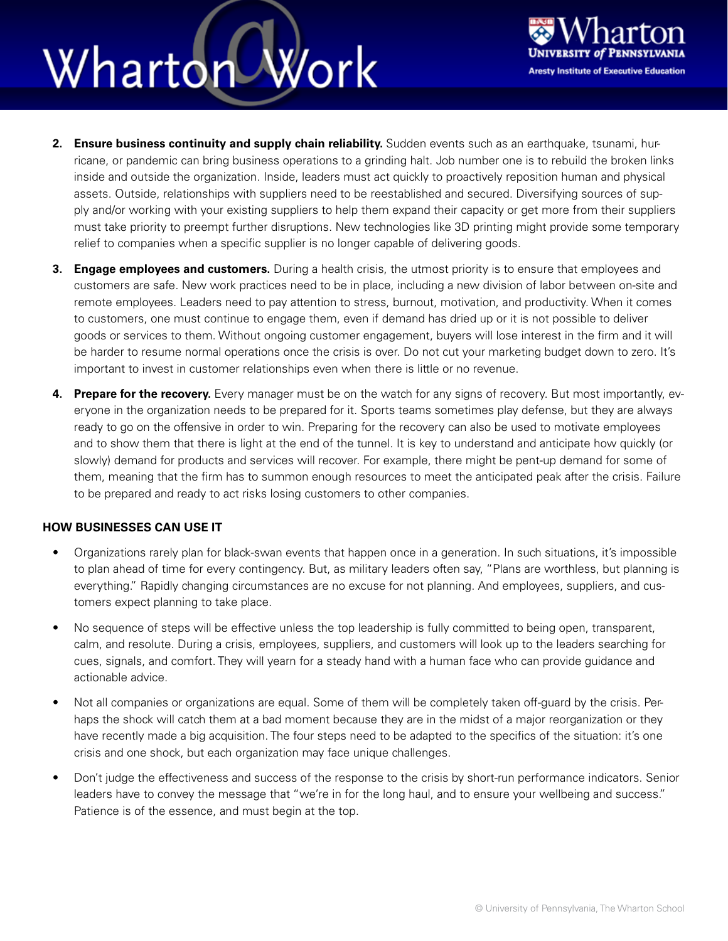### Work Wharton



- **2. Ensure business continuity and supply chain reliability.** Sudden events such as an earthquake, tsunami, hurricane, or pandemic can bring business operations to a grinding halt. Job number one is to rebuild the broken links inside and outside the organization. Inside, leaders must act quickly to proactively reposition human and physical assets. Outside, relationships with suppliers need to be reestablished and secured. Diversifying sources of supply and/or working with your existing suppliers to help them expand their capacity or get more from their suppliers must take priority to preempt further disruptions. New technologies like 3D printing might provide some temporary relief to companies when a specific supplier is no longer capable of delivering goods.
- **3. Engage employees and customers.** During a health crisis, the utmost priority is to ensure that employees and customers are safe. New work practices need to be in place, including a new division of labor between on-site and remote employees. Leaders need to pay attention to stress, burnout, motivation, and productivity. When it comes to customers, one must continue to engage them, even if demand has dried up or it is not possible to deliver goods or services to them. Without ongoing customer engagement, buyers will lose interest in the firm and it will be harder to resume normal operations once the crisis is over. Do not cut your marketing budget down to zero. It's important to invest in customer relationships even when there is little or no revenue.
- **4.** Prepare for the recovery. Every manager must be on the watch for any signs of recovery. But most importantly, everyone in the organization needs to be prepared for it. Sports teams sometimes play defense, but they are always ready to go on the offensive in order to win. Preparing for the recovery can also be used to motivate employees and to show them that there is light at the end of the tunnel. It is key to understand and anticipate how quickly (or slowly) demand for products and services will recover. For example, there might be pent-up demand for some of them, meaning that the firm has to summon enough resources to meet the anticipated peak after the crisis. Failure to be prepared and ready to act risks losing customers to other companies.

### **HOW BUSINESSES CAN USE IT**

- Organizations rarely plan for black-swan events that happen once in a generation. In such situations, it's impossible to plan ahead of time for every contingency. But, as military leaders often say, "Plans are worthless, but planning is everything." Rapidly changing circumstances are no excuse for not planning. And employees, suppliers, and customers expect planning to take place.
- No sequence of steps will be effective unless the top leadership is fully committed to being open, transparent, calm, and resolute. During a crisis, employees, suppliers, and customers will look up to the leaders searching for cues, signals, and comfort. They will yearn for a steady hand with a human face who can provide guidance and actionable advice.
- Not all companies or organizations are equal. Some of them will be completely taken off-guard by the crisis. Perhaps the shock will catch them at a bad moment because they are in the midst of a major reorganization or they have recently made a big acquisition. The four steps need to be adapted to the specifics of the situation: it's one crisis and one shock, but each organization may face unique challenges.
- Don't judge the effectiveness and success of the response to the crisis by short-run performance indicators. Senior leaders have to convey the message that "we're in for the long haul, and to ensure your wellbeing and success." Patience is of the essence, and must begin at the top.